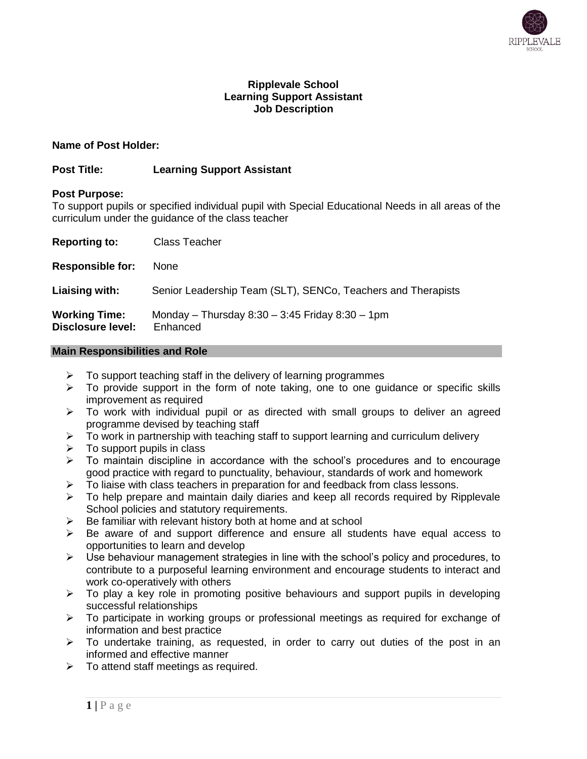

# **Ripplevale School Learning Support Assistant Job Description**

# **Name of Post Holder:**

# **Post Title: Learning Support Assistant**

## **Post Purpose:**

To support pupils or specified individual pupil with Special Educational Needs in all areas of the curriculum under the guidance of the class teacher

| <b>Reporting to:</b>                             | Class Teacher                                                    |
|--------------------------------------------------|------------------------------------------------------------------|
| <b>Responsible for:</b>                          | None                                                             |
| Liaising with:                                   | Senior Leadership Team (SLT), SENCo, Teachers and Therapists     |
| <b>Working Time:</b><br><b>Disclosure level:</b> | Monday - Thursday $8:30 - 3:45$ Friday $8:30 - 1$ pm<br>Enhanced |

## **Main Responsibilities and Role**

- $\triangleright$  To support teaching staff in the delivery of learning programmes
- $\triangleright$  To provide support in the form of note taking, one to one guidance or specific skills improvement as required
- $\triangleright$  To work with individual pupil or as directed with small groups to deliver an agreed programme devised by teaching staff
- $\triangleright$  To work in partnership with teaching staff to support learning and curriculum delivery
- $\triangleright$  To support pupils in class
- $\triangleright$  To maintain discipline in accordance with the school's procedures and to encourage good practice with regard to punctuality, behaviour, standards of work and homework
- $\triangleright$  To liaise with class teachers in preparation for and feedback from class lessons.
- $\triangleright$  To help prepare and maintain daily diaries and keep all records required by Ripplevale School policies and statutory requirements.
- Be familiar with relevant history both at home and at school
- $\triangleright$  Be aware of and support difference and ensure all students have equal access to opportunities to learn and develop
- $\triangleright$  Use behaviour management strategies in line with the school's policy and procedures, to contribute to a purposeful learning environment and encourage students to interact and work co-operatively with others
- $\triangleright$  To play a key role in promoting positive behaviours and support pupils in developing successful relationships
- $\triangleright$  To participate in working groups or professional meetings as required for exchange of information and best practice
- $\triangleright$  To undertake training, as requested, in order to carry out duties of the post in an informed and effective manner
- $\triangleright$  To attend staff meetings as required.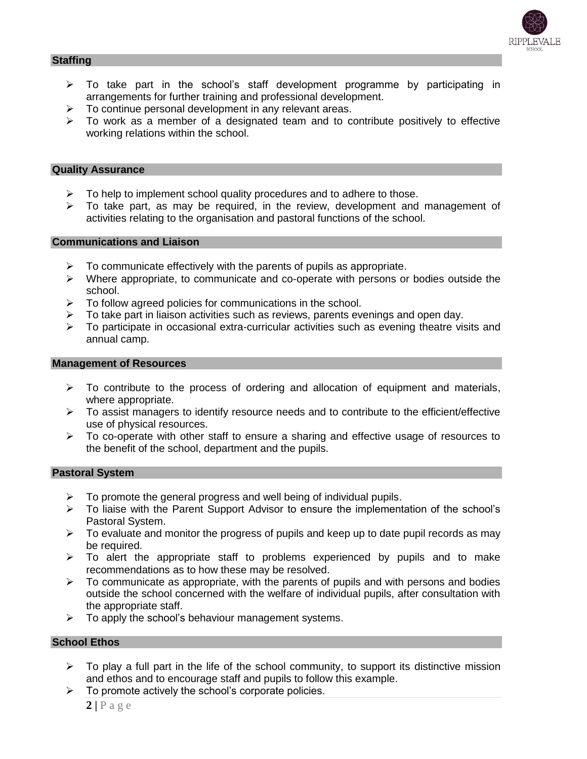

### **Staffing**

- $\triangleright$  To take part in the school's staff development programme by participating in arrangements for further training and professional development.
- $\triangleright$  To continue personal development in any relevant areas.
- $\triangleright$  To work as a member of a designated team and to contribute positively to effective working relations within the school.

#### **Quality Assurance**

- $\triangleright$  To help to implement school quality procedures and to adhere to those.
- $\triangleright$  To take part, as may be required, in the review, development and management of activities relating to the organisation and pastoral functions of the school.

## **Communications and Liaison**

- $\triangleright$  To communicate effectively with the parents of pupils as appropriate.
- $\triangleright$  Where appropriate, to communicate and co-operate with persons or bodies outside the school.
- $\triangleright$  To follow agreed policies for communications in the school.
- To take part in liaison activities such as reviews, parents evenings and open day.
- $\triangleright$  To participate in occasional extra-curricular activities such as evening theatre visits and annual camp.

#### **Management of Resources**

- $\triangleright$  To contribute to the process of ordering and allocation of equipment and materials, where appropriate.
- $\triangleright$  To assist managers to identify resource needs and to contribute to the efficient/effective use of physical resources.
- $\triangleright$  To co-operate with other staff to ensure a sharing and effective usage of resources to the benefit of the school, department and the pupils.

## **Pastoral System**

- $\triangleright$  To promote the general progress and well being of individual pupils.
- $\triangleright$  To liaise with the Parent Support Advisor to ensure the implementation of the school's Pastoral System.
- $\triangleright$  To evaluate and monitor the progress of pupils and keep up to date pupil records as may be required.
- $\triangleright$  To alert the appropriate staff to problems experienced by pupils and to make recommendations as to how these may be resolved.
- $\triangleright$  To communicate as appropriate, with the parents of pupils and with persons and bodies outside the school concerned with the welfare of individual pupils, after consultation with the appropriate staff.
- $\triangleright$  To apply the school's behaviour management systems.

## **School Ethos**

- $\triangleright$  To play a full part in the life of the school community, to support its distinctive mission and ethos and to encourage staff and pupils to follow this example.
- $\triangleright$  To promote actively the school's corporate policies.